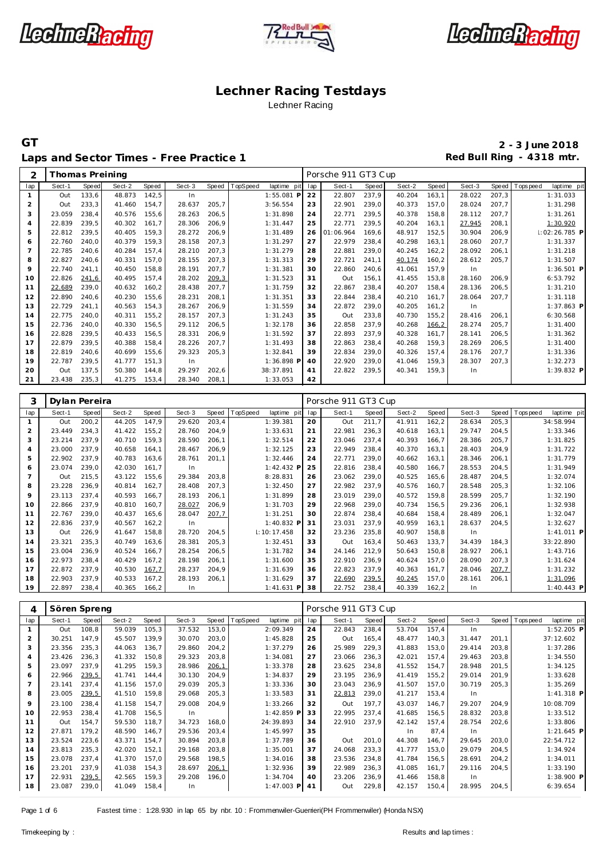





Laps and Sector Times - Free Practice 1 **Red Bull Ring - 4318 mtr.** 

Thomas Preining Porsche 911 GT3 Cup

**GT 2 - 3 June 2018**

| $\mathbf{1}$            | Sect-1        | Speed          | Sect-2 | Speed          | Sect-3           | Speed          | TopSpeed<br>laptime pit             | lap       | Sect-1              | Speed          | Sect-2           | Speed          | Sect-3           | Speed          | T ops peed<br>laptime pit              |
|-------------------------|---------------|----------------|--------|----------------|------------------|----------------|-------------------------------------|-----------|---------------------|----------------|------------------|----------------|------------------|----------------|----------------------------------------|
|                         | Out           | 133,6          | 48.873 | 142,5          | In               |                | 1:55.081 P                          | 22        | 22.807              | 237,9          | 40.204           | 163,1          | 28.022           | 207,3          | 1:31.033                               |
| $\overline{c}$          | Out           | 233,3          | 41.460 | 154,7          | 28.637           | 205,7          | 3:56.554                            | 23        | 22.901              | 239,0          | 40.373           | 157,0          | 28.024           | 207,7          | 1:31.298                               |
| 3                       | 23.059        | 238,4          | 40.576 | 155,6          | 28.263           | 206,5          | 1:31.898                            | 24        | 22.771              | 239,5          | 40.378           | 158,8          | 28.112           | 207,7          | 1:31.261                               |
| $\overline{4}$          | 22.839        | 239,5          | 40.302 | 161,7          | 28.306           | 206,9          | 1:31.447                            | 25        | 22.771              | 239,5          | 40.204           | 163,1          | 27.945           | 208,1          | 1:30.920                               |
| 5                       | 22.812        | 239,5          | 40.405 | 159,3          | 28.272           | 206,9          | 1:31.489                            | 26        | 01:06.964           | 169,6          | 48.917           | 152,5          | 30.904           | 206,9          | 1:02:26.785 P                          |
| 6                       | 22.760        | 240,0          | 40.379 | 159,3          | 28.158           | 207,3          | 1:31.297                            | 27        | 22.979              | 238,4          | 40.298           | 163,1          | 28.060           | 207,7          | 1:31.337                               |
| $\overline{7}$          | 22.785        | 240,6          | 40.284 | 157,4          | 28.210           | 207,3          | 1:31.279                            | 28        | 22.881              | 239,0          | 40.245           | 162, 2         | 28.092           | 206,1          | 1:31.218                               |
| 8                       | 22.827        | 240,6          | 40.331 | 157,0          | 28.155           | 207,3          | 1:31.313                            | 29        | 22.721              | 241,1          | 40.174           | 160,2          | 28.612           | 205,7          | 1:31.507                               |
| 9                       | 22.740        | 241,1          | 40.450 | 158,8          | 28.191           | 207,7          | 1:31.381                            | 30        | 22.860              | 240,6          | 41.061           | 157,9          | In               |                | $1:36.501$ P                           |
| 10                      | 22.826        | 241,6          | 40.495 | 157,4          | 28.202           | 209,3          | 1:31.523                            | 31        | Out                 | 156,1          | 41.455           | 153,8          | 28.160           | 206,9          | 6:53.792                               |
| 11                      | 22.689        | 239,0          | 40.632 | 160,2          | 28.438           | 207,7          | 1:31.759                            | 32        | 22.867              | 238,4          | 40.207           | 158,4          | 28.136           | 206,5          | 1:31.210                               |
| 12                      | 22.890        | 240,6          | 40.230 | 155,6          | 28.231           | 208,1          | 1:31.351                            | 33        | 22.844              | 238,4          | 40.210           | 161,7          | 28.064           | 207,7          | 1:31.118                               |
| 13                      | 22.729        | 241,1          | 40.563 | 154,3          | 28.267           | 206,9          | 1:31.559                            | 34        | 22.872              | 239,0          | 40.205           | 161,2          | In               |                | 1:37.863 P                             |
| 14                      | 22.775        | 240,0          | 40.311 | 155,2          | 28.157           | 207,3          | 1:31.243                            | 35        | Out                 | 233,8          | 40.730           | 155,2          | 28.416           | 206,1          | 6:30.568                               |
| 15                      | 22.736        | 240,0          | 40.330 | 156,5          | 29.112           | 206,5          | 1:32.178                            | 36        | 22.858              | 237,9          | 40.268           | 166,2          | 28.274           | 205,7          | 1:31.400                               |
| 16                      | 22.828        | 239,5          | 40.433 | 156,5          | 28.331           | 206,9          | 1:31.592                            | 37        | 22.893              | 237,9          | 40.328           | 161,7          | 28.141           | 206,5          | 1:31.362                               |
| 17                      | 22.879        | 239,5          | 40.388 | 158,4          | 28.226           | 207,7          | 1:31.493                            | 38        | 22.863              | 238,4          | 40.268           | 159,3          | 28.269           | 206,5          | 1:31.400                               |
| 18                      | 22.819        | 240,6          | 40.699 | 155,6          | 29.323           | 205,3          | 1:32.841                            | 39        | 22.834              | 239,0          | 40.326           | 157,4          | 28.176           | 207,7          | 1:31.336                               |
| 19                      | 22.787        | 239,5          | 41.777 | 151,3          | In               |                | 1:36.898 P                          | 40        | 22.920              | 239,0          | 41.046           | 159,3          | 28.307           | 207,3          | 1:32.273                               |
| 20                      | Out           | 137,5          | 50.380 | 144,8          | 29.297           | 202,6          | 38:37.891                           | 41        | 22.822              | 239,5          | 40.341           | 159,3          | In               |                | 1:39.832 P                             |
| 21                      | 23.438        | 235,3          | 41.275 | 153,4          | 28.340           | 208,1          | 1:33.053                            | 42        |                     |                |                  |                |                  |                |                                        |
|                         |               |                |        |                |                  |                |                                     |           |                     |                |                  |                |                  |                |                                        |
| 3                       | Dylan Pereira |                |        |                |                  |                |                                     |           | Porsche 911 GT3 Cup |                |                  |                |                  |                |                                        |
|                         |               |                | Sect-2 |                |                  |                |                                     |           |                     |                |                  |                |                  |                |                                        |
| lap<br>$\mathbf{1}$     | Sect-1<br>Out | Speed<br>200,2 | 44.205 | Speed<br>147,9 | Sect-3<br>29.620 | Speed<br>203,4 | TopSpeed<br>laptime pit<br>1:39.381 | lap<br>20 | Sect-1<br>Out       | Speed<br>211,7 | Sect-2<br>41.911 | Speed<br>162,2 | Sect-3<br>28.634 | Speed<br>205,3 | T ops peed<br>laptime pit<br>34:58.994 |
| $\overline{c}$          | 23.449        | 234,3          | 41.422 | 155,2          | 28.760           | 204,9          | 1:33.631                            | 21        | 22.981              | 236,3          | 40.618           | 163,1          | 29.747           | 204,5          | 1:33.346                               |
| 3                       | 23.214        | 237,9          | 40.710 | 159,3          | 28.590           |                | 1:32.514                            | 22        |                     | 237,4          | 40.393           | 166,7          |                  | 205,7          |                                        |
| $\overline{4}$          | 23.000        | 237,9          | 40.658 | 164,1          | 28.467           | 206,1          | 1:32.125                            | 23        | 23.046<br>22.949    | 238,4          | 40.370           | 163,1          | 28.386<br>28.403 | 204,9          | 1:31.825<br>1:31.722                   |
|                         | 22.902        | 237,9          | 40.783 |                |                  | 206,9          |                                     | 24        | 22.771              | 239,0          |                  |                |                  |                | 1:31.779                               |
| 5                       | 23.074        | 239,0          | 42.030 | 163,6<br>161,7 | 28.761           | 201,1          | 1:32.446<br>1:42.432 P              | 25        | 22.816              |                | 40.662           | 163,1          | 28.346           | 206,1          |                                        |
| 6<br>$\overline{7}$     |               |                | 43.122 |                | In               |                |                                     |           |                     | 238,4          | 40.580           | 166,7          | 28.553           | 204,5          | 1:31.949                               |
| 8                       | Out<br>23.228 | 215,5<br>236,9 | 40.814 | 155,6<br>162,7 | 29.384<br>28.408 | 203,8<br>207,3 | 8:28.831                            | 26<br>27  | 23.062<br>22.982    | 239,0<br>237,9 | 40.525           | 165,6<br>160,7 | 28.487<br>28.548 | 204,5<br>205,3 | 1:32.074                               |
|                         |               |                |        |                |                  |                | 1:32.450                            |           |                     |                | 40.576           |                |                  |                | 1:32.106                               |
| 9                       | 23.113        | 237,4          | 40.593 | 166,7          | 28.193           | 206,1          | 1:31.899                            | 28        | 23.019              | 239,0          | 40.572           | 159,8          | 28.599           | 205,7          | 1:32.190                               |
| 10                      | 22.866        | 237,9          | 40.810 | 160,7          | 28.027           | 206,9          | 1:31.703                            | 29        | 22.968              | 239,0          | 40.734           | 156,5          | 29.236           | 206,1          | 1:32.938                               |
| 11                      | 22.767        | 239,0          | 40.437 | 165,6          | 28.047           | 207,7          | 1:31.251                            | 30        | 22.874              | 238,4          | 40.684           | 158,4          | 28.489           | 206,1          | 1:32.047                               |
| 12                      | 22.836        | 237,9          | 40.567 | 162, 2         | In               | 204,5          | 1:40.832 F                          | 31<br>32  | 23.031              | 237,9          | 40.959<br>40.907 | 163,1          | 28.637           | 204,5          | 1:32.627                               |
| 13                      | Out           | 226,9          | 41.647 | 158,8          | 28.720           |                |                                     |           |                     |                |                  | 158,8          |                  |                |                                        |
| 14                      | 23.321        |                |        |                |                  |                | 1:10:17.458                         |           | 23.236              | 235,8          |                  |                | In               |                | 1:41.011 P                             |
|                         |               | 235,3          | 40.749 | 163,6          | 28.381           | 205, 3         | 1:32.451                            | 33        | Out                 | 163,4          | 50.463           | 133,7          | 34.439           | 184,3          | 33:22.890                              |
| 15                      | 23.004        | 236,9          | 40.524 | 166,7          | 28.254           | 206,5          | 1:31.782                            | 34        | 24.146              | 212,9          | 50.643           | 150,8          | 28.927           | 206,1          | 1:43.716                               |
| 16                      | 22.973        | 238,4          | 40.429 | 167,2          | 28.198           | 206,1          | 1:31.600                            | 35        | 22.910              | 236,9          | 40.624           | 157,0          | 28.090           | 207,3          | 1:31.624                               |
| 17                      | 22.872        | 237,9          | 40.530 | 167,7          | 28.237           | 204,9          | 1:31.639                            | 36        | 22.823              | 237,9          | 40.363           | 161,7          | 28.046           | 207,7          | 1:31.232                               |
| 18                      | 22.903        | 237,9          | 40.533 | 167,2          | 28.193           | 206,1          | 1:31.629                            | 37        | 22.690              | 239,5          | 40.245           | 157,0          | 28.161           | 206,1          | 1:31.096                               |
| 19                      | 22.897        | 238,4          | 40.365 | 166,2          | In               |                | 1:41.631 P                          | 38        | 22.752              | 238,4          | 40.339           | 162, 2         | In               |                | 1:40.443 P                             |
| 4                       | Sören Spreng  |                |        |                |                  |                |                                     |           | Porsche 911 GT3 Cup |                |                  |                |                  |                |                                        |
| lap                     | Sect-1        | Speed          | Sect-2 | Speed          | Sect-3           | Speed          | TopSpeed<br>laptime pit             | lap       | Sect-1              | Speed          | Sect-2           | Speed          | Sect-3           | Speed          | laptime pit<br>T ops peed              |
| $\mathbf{1}$            | Out           | 108,8          | 59.039 | 105,3          | 37.532           | 153,0          | 2:09.349                            | 24        | 22.843              | 238,4          | 53.704           | 157,4          | In               |                | 1:52.205 P                             |
| $\overline{\mathbf{c}}$ | 30.251        | 147,9          | 45.507 | 139,9          | 30.070           | 203,0          | 1:45.828                            | 25        | Out                 | 165,4          | 48.477           | 140,3          | 31.447 201,1     |                | 37:12.602                              |
| 3                       | 23.356        | 235,3          | 44.063 | 136,7          | 29.860           | 204,2          | 1:37.279                            | 26        | 25.989              | 229,3          | 41.883           | 153,0          | 29.414           | 203,8          | 1:37.286                               |
| 4                       | 23.426        | 236,3          | 41.332 | 150,8          | 29.323           | 203,8          | 1:34.081                            | 27        | 23.066              | 236,3          | 42.021           | 157,4          | 29.463           | 203,8          | 1:34.550                               |
| 5                       | 23.097        | 237,9          | 41.295 | 159,3          | 28.986           | 206,1          | 1:33.378                            | 28        | 23.625              | 234,8          | 41.552           | 154,7          | 28.948           | 201,5          | 1:34.125                               |
| 6                       | 22.966        | 239,5          | 41.741 | 144,4          | 30.130           | 204,9          | 1:34.837                            | 29        | 23.195              | 236,9          | 41.419           | 155,2          | 29.014           | 201,9          | 1:33.628                               |
| $\overline{7}$          | 23.141        | 237,4          | 41.156 | 157,0          | 29.039           | 205,3          | 1:33.336                            | 30        | 23.043              | 236,9          | 41.507           | 157,0          | 30.719           | 205,3          | 1:35.269                               |
| 8                       | 23.005        | 239,5          | 41.510 | 159,8          | 29.068           | 205,3          | 1:33.583                            | 31        | 22.813              | 239,0          | 41.217           | 153,4          | In               |                |                                        |
| 9                       | 23.100        | 238,4          | 41.158 | 154,7          | 29.008           | 204,9          | 1:33.266                            | 32        | Out                 | 197,7          | 43.037           | 146,7          | 29.207           | 204,9          | 1:41.318 P<br>10:08.709                |
| 10                      | 22.953        | 238,4          | 41.708 | 156,5          | In               |                | 1:42.859 P                          | 33        | 22.995              | 237,4          | 41.685           | 156,5          | 28.832           | 203,8          | 1:33.512                               |
| 11                      | Out           | 154,7          | 59.530 | 118,7          | 34.723           | 168,0          | 24:39.893                           | 34        | 22.910              | 237,9          | 42.142           | 157,4          | 28.754           | 202,6          | 1:33.806                               |
| 12                      | 27.871        | 179,2          | 48.590 | 146,7          | 29.536           | 203,4          | 1:45.997                            | 35        |                     |                | In               | 87,4           | In               |                |                                        |
| 13                      | 23.524        | 223,6          | 43.371 | 154,7          | 30.894           | 203,8          | 1:37.789                            | 36        | Out                 | 201,0          | 44.308           | 146,7          | 29.645           | 203,0          | 22:54.712                              |
| 14                      | 23.813        | 235,3          | 42.020 | 152,1          | 29.168           | 203,8          | 1:35.001                            | 37        | 24.068              | 233,3          | 41.777           | 153,0          | 29.079           | 204,5          | 1:21.645 P<br>1:34.924                 |
| 15                      | 23.078        | 237,4          | 41.370 | 157,0          | 29.568           | 198,5          | 1:34.016                            | 38        | 23.536              | 234,8          | 41.784           | 156,5          | 28.691           | 204,2          | 1:34.011                               |
| 16                      | 23.201        | 237,9          | 41.038 | 154,3          | 28.697           | 206,1          | 1:32.936                            | 39        | 22.989              | 236,3          | 41.085           | 161,7          | 29.116           | 204,5          | 1:33.190                               |
| 17                      | 22.931        | 239,5          | 42.565 | 159,3          | 29.208           | 196,0          | 1:34.704                            | 40        | 23.206              | 236,9          | 41.466           | 158,8          | In               |                | 1:38.900 P                             |

Page 1 of 6 Fastest time : 1:28.930 in lap 65 by nbr. 10 : Frommenwiler-Guerrieri(PH Frommenwiler) (Honda NSX)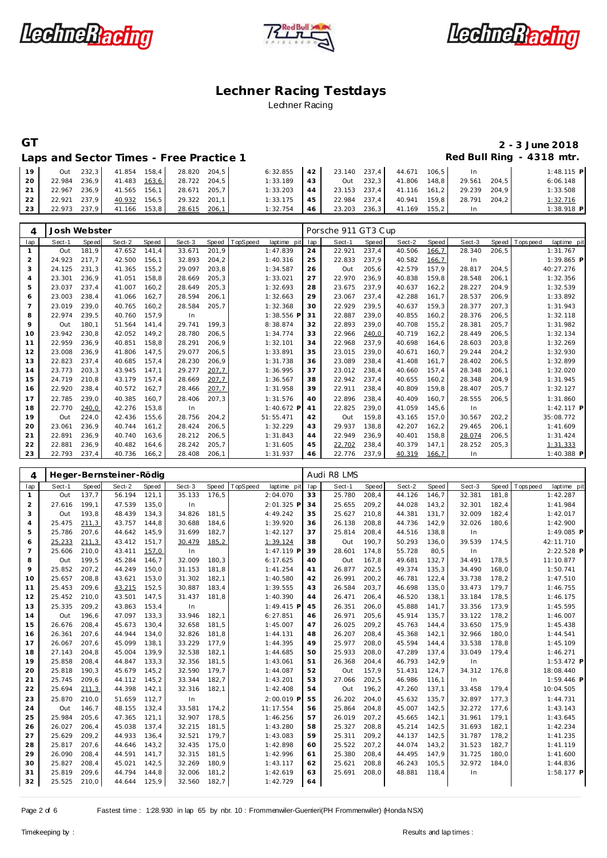





# **GT 2 - 3 June 2018**

Laps and Sector Times - Free Practice 1 **Red Bull Ring - 4318 mtr.** 

| 19 | Out    | 232.3 | 41.854 158.4 |       | 28.820 | 204.5 | 6:32.855 | 42 | 23.140 237.4 |       | 44.671 | $106.5$ | <b>In</b> |       | $1:48.115$ P |
|----|--------|-------|--------------|-------|--------|-------|----------|----|--------------|-------|--------|---------|-----------|-------|--------------|
| 20 | 22.984 | 236.9 | 41.483       | 163.6 | 28.722 | 204.5 | 1:33.189 | 43 | Out          | 232.3 | 41.806 | 148.8   | 29.561    | 204.5 | 6:06.148     |
|    | 22.967 | 236.9 | 41.565       | 156,1 | 28.671 | 205.7 | 1:33.203 | 44 | 23.153 237.4 |       | 41.116 | $161.2$ | 29.239    | 204.9 | 1:33.508     |
| 22 | 22.921 | 237.9 | 40.932       | 156.5 | 29.322 | 201.1 | 1:33.175 | 45 | 22.984       | 237.4 | 40.941 | 159.8   | 28.791    | 204.2 | 1:32.716     |
| 23 | 22.973 | 237.9 | 41.166       | 153.8 | 28.615 | 206,1 | 1:32.754 | 46 | 23.203       | 236,3 | 41.169 | 155.2   |           |       | 1:38.918 P   |

| 4              | Josh Webster |       |        |       |        |        |          |             |     | Porsche 911 GT3 Cup |       |        |        |        |        |            |              |
|----------------|--------------|-------|--------|-------|--------|--------|----------|-------------|-----|---------------------|-------|--------|--------|--------|--------|------------|--------------|
| lap            | Sect-1       | Speed | Sect-2 | Speed | Sect-3 | Speed  | TopSpeed | laptime pit | lap | Sect-1              | Speed | Sect-2 | Speed  | Sect-3 | Speed  | T ops peed | laptime pit  |
|                | Out          | 181,9 | 47.652 | 141,4 | 33.671 | 201,9  |          | 1:47.839    | 24  | 22.921              | 237,4 | 40.506 | 166,7  | 28.340 | 206,5  |            | 1:31.767     |
| 2              | 24.923       | 217.7 | 42.500 | 156.1 | 32.893 | 204,2  |          | 1:40.316    | 25  | 22.833              | 237.9 | 40.582 | 166,7  | In     |        |            | 1:39.865 P   |
| 3              | 24.125       | 231.3 | 41.365 | 155,2 | 29.097 | 203,8  |          | 1:34.587    | 26  | Out                 | 205,6 | 42.579 | 157,9  | 28.817 | 204,5  |            | 40:27.276    |
| $\overline{4}$ | 23.301       | 236,9 | 41.051 | 158,8 | 28.669 | 205,3  |          | 1:33.021    | 27  | 22.970              | 236,9 | 40.838 | 159,8  | 28.548 | 206,1  |            | 1:32.356     |
| 5              | 23.037       | 237.4 | 41.007 | 160.2 | 28.649 | 205,3  |          | 1:32.693    | 28  | 23.675              | 237.9 | 40.637 | 162, 2 | 28.227 | 204,9  |            | 1:32.539     |
| 6              | 23.003       | 238,4 | 41.066 | 162,7 | 28.594 | 206,1  |          | 1:32.663    | 29  | 23.067              | 237,4 | 42.288 | 161,7  | 28.537 | 206,9  |            | 1:33.892     |
| 7              | 23.019       | 239.0 | 40.765 | 160,2 | 28.584 | 205,7  |          | 1:32.368    | 30  | 22.929              | 239,5 | 40.637 | 159,3  | 28.377 | 207,3  |            | 1:31.943     |
| 8              | 22.974       | 239,5 | 40.760 | 157,9 | In     |        |          | 1:38.556 F  | 31  | 22.887              | 239,0 | 40.855 | 160,2  | 28.376 | 206, 5 |            | 1:32.118     |
| 9              | Out          | 180.1 | 51.564 | 141.4 | 29.741 | 199.3  |          | 8:38.874    | 32  | 22.893              | 239.0 | 40.708 | 155,2  | 28.381 | 205,7  |            | 1:31.982     |
| 10             | 23.942       | 230.8 | 42.052 | 149.2 | 28.780 | 206,5  |          | 1:34.774    | 33  | 22.966              | 240,0 | 40.719 | 162, 2 | 28.449 | 206, 5 |            | 1:32.134     |
| 11             | 22.959       | 236,9 | 40.851 | 158.8 | 28.291 | 206,9  |          | 1:32.101    | 34  | 22.968              | 237,9 | 40.698 | 164,6  | 28.603 | 203,8  |            | 1:32.269     |
| 12             | 23.008       | 236.9 | 41.806 | 147.5 | 29.077 | 206,5  |          | 1:33.891    | 35  | 23.015              | 239.0 | 40.671 | 160.7  | 29.244 | 204, 2 |            | 1:32.930     |
| 13             | 22.823       | 237,4 | 40.685 | 157.4 | 28.230 | 206,9  |          | 1:31.738    | 36  | 23.089              | 238,4 | 41.408 | 161,7  | 28.402 | 206, 5 |            | 1:32.899     |
| 14             | 23.773       | 203,3 | 43.945 | 147.1 | 29.277 | 207,7  |          | 1:36.995    | 37  | 23.012              | 238,4 | 40.660 | 157,4  | 28.348 | 206,1  |            | 1:32.020     |
| 15             | 24.719       | 210.8 | 43.179 | 157.4 | 28.669 | 207,7  |          | 1:36.567    | 38  | 22.942              | 237.4 | 40.655 | 160,2  | 28.348 | 204.9  |            | 1:31.945     |
| 16             | 22.920       | 238,4 | 40.572 | 162,7 | 28.466 | 207,7  |          | 1:31.958    | 39  | 22.911              | 238,4 | 40.809 | 159,8  | 28.407 | 205,7  |            | 1:32.127     |
| 17             | 22.785       | 239.0 | 40.385 | 160.7 | 28.406 | 207,3  |          | 1:31.576    | 40  | 22.896              | 238,4 | 40.409 | 160,7  | 28.555 | 206,5  |            | 1:31.860     |
| 18             | 22.770       | 240,0 | 42.276 | 153,8 | In     |        |          | 1:40.672 P  | 41  | 22.825              | 239,0 | 41.059 | 145,6  | In     |        |            | $1:42.117$ P |
| 19             | Out          | 224,0 | 42.436 | 155.6 | 28.756 | 204.2  |          | 51:55.471   | 42  | Out                 | 159,8 | 43.165 | 157,0  | 30.567 | 202.2  |            | 35:08.772    |
| 20             | 23.061       | 236.9 | 40.744 | 161.2 | 28.424 | 206, 5 |          | 1:32.229    | 43  | 29.937              | 138,8 | 42.207 | 162, 2 | 29.465 | 206,1  |            | 1:41.609     |
| 21             | 22.891       | 236,9 | 40.740 | 163,6 | 28.212 | 206, 5 |          | 1:31.843    | 44  | 22.949              | 236,9 | 40.401 | 158,8  | 28.074 | 206, 5 |            | 1:31.424     |
| 22             | 22.881       | 236.9 | 40.482 | 164.6 | 28.242 | 205.7  |          | 1:31.605    | 45  | 22.702              | 238.4 | 40.379 | 147.1  | 28.252 | 205,3  |            | 1:31.333     |
| 23             | 22.793       | 237,4 | 40.736 | 166,2 | 28.408 | 206,1  |          | 1:31.937    | 46  | 22.776              | 237,9 | 40.319 | 166,7  | In     |        |            | $1:40.388$ P |

| 4              |        |       | Heger-Bernsteiner-Rödig |       |        |       |          |              |     | Audi R8 LMS |       |        |       |        |       |                   |              |  |
|----------------|--------|-------|-------------------------|-------|--------|-------|----------|--------------|-----|-------------|-------|--------|-------|--------|-------|-------------------|--------------|--|
| lap            | Sect-1 | Speed | Sect-2                  | Speed | Sect-3 | Speed | TopSpeed | laptime pit  | lap | Sect-1      | Speed | Sect-2 | Speed | Sect-3 | Speed | <b>T</b> ops peed | laptime pit  |  |
| $\mathbf{1}$   | Out    | 137.7 | 56.194                  | 121.1 | 35.133 | 176.5 |          | 2:04.070     | 33  | 25.780      | 208,4 | 44.126 | 146.7 | 32.381 | 181.8 |                   | 1:42.287     |  |
| 2              | 27.616 | 199,1 | 47.539                  | 135,0 | In     |       |          | 2:01.325 P   | 34  | 25.655      | 209,2 | 44.028 | 143,2 | 32.301 | 182,4 |                   | 1:41.984     |  |
| 3              | Out    | 193,8 | 48.439                  | 134,3 | 34.826 | 181,5 |          | 4:49.242     | 35  | 25.627      | 210,8 | 44.381 | 131,7 | 32.009 | 182,4 |                   | 1:42.017     |  |
| $\overline{4}$ | 25.475 | 211,3 | 43.757                  | 144,8 | 30.688 | 184,6 |          | 1:39.920     | 36  | 26.138      | 208,8 | 44.736 | 142,9 | 32.026 | 180,6 |                   | 1:42.900     |  |
| 5              | 25.786 | 207.6 | 44.642                  | 145,9 | 31.699 | 182,7 |          | 1:42.127     | 37  | 25.814      | 208,4 | 44.516 | 138,8 | In     |       |                   | $1:49.085$ P |  |
| 6              | 25.233 | 211,3 | 43.412                  | 151,7 | 30.479 | 185,2 |          | 1:39.124     | 38  | Out         | 190.7 | 50.293 | 136,0 | 39.539 | 174,5 |                   | 42:11.710    |  |
| $\overline{7}$ | 25.606 | 210,0 | 43.411                  | 157,0 | In     |       |          | 1:47.119 P   | 39  | 28.601      | 174,8 | 55.728 | 80,5  | In     |       |                   | 2:22.528 P   |  |
| 8              | Out    | 199,5 | 45.284                  | 146,7 | 32.009 | 180,3 |          | 6:17.625     | 40  | Out         | 167,8 | 49.681 | 132,7 | 34.491 | 178,5 |                   | 11:10.877    |  |
| 9              | 25.852 | 207,2 | 44.249                  | 150,0 | 31.153 | 181,8 |          | 1:41.254     | 41  | 26.877      | 202,5 | 49.374 | 135,3 | 34.490 | 168,0 |                   | 1:50.741     |  |
| 10             | 25.657 | 208,8 | 43.621                  | 153,0 | 31.302 | 182,1 |          | 1:40.580     | 42  | 26.991      | 200,2 | 46.781 | 122,4 | 33.738 | 178,2 |                   | 1:47.510     |  |
| 11             | 25.453 | 209,6 | 43.215                  | 152,5 | 30.887 | 183,4 |          | 1:39.555     | 43  | 26.584      | 203,7 | 46.698 | 135,0 | 33.473 | 179,7 |                   | 1:46.755     |  |
| 12             | 25.452 | 210,0 | 43.501                  | 147,5 | 31.437 | 181,8 |          | 1:40.390     | 44  | 26.471      | 206,4 | 46.520 | 138,1 | 33.184 | 178,5 |                   | 1:46.175     |  |
| 13             | 25.335 | 209,2 | 43.863                  | 153,4 | In     |       |          | $1:49.415$ P | 45  | 26.351      | 206,0 | 45.888 | 141,7 | 33.356 | 173,9 |                   | 1:45.595     |  |
| 14             | Out    | 196,6 | 47.097                  | 133,3 | 33.946 | 182,1 |          | 6:27.851     | 46  | 26.971      | 205,6 | 45.914 | 135,7 | 33.122 | 178,2 |                   | 1:46.007     |  |
| 15             | 26.676 | 208,4 | 45.673                  | 130,4 | 32.658 | 181,5 |          | 1:45.007     | 47  | 26.025      | 209,2 | 45.763 | 144,4 | 33.650 | 175,9 |                   | 1:45.438     |  |
| 16             | 26.361 | 207,6 | 44.944                  | 134,0 | 32.826 | 181,8 |          | 1:44.131     | 48  | 26.207      | 208,4 | 45.368 | 142,1 | 32.966 | 180,0 |                   | 1:44.541     |  |
| 17             | 26.067 | 207.6 | 45.099                  | 138.1 | 33.229 | 177,9 |          | 1:44.395     | 49  | 25.977      | 208.0 | 45.594 | 144,4 | 33.538 | 178,8 |                   | 1:45.109     |  |
| 18             | 27.143 | 204.8 | 45.004                  | 139.9 | 32.538 | 182,1 |          | 1:44.685     | 50  | 25.933      | 208,0 | 47.289 | 137,4 | 33.049 | 179,4 |                   | 1:46.271     |  |
| 19             | 25.858 | 208,4 | 44.847                  | 133,3 | 32.356 | 181,5 |          | 1:43.061     | 51  | 26.368      | 204,4 | 46.793 | 142,9 | In     |       |                   | $1:53.472$ P |  |
| 20             | 25.818 | 190,3 | 45.679                  | 145,2 | 32.590 | 179,7 |          | 1:44.087     | 52  | Out         | 157,9 | 51.431 | 124,7 | 34.312 | 176,8 |                   | 18:08.440    |  |
| 21             | 25.745 | 209,6 | 44.112                  | 145,2 | 33.344 | 182,7 |          | 1:43.201     | 53  | 27.066      | 202,5 | 46.986 | 116,1 | In     |       |                   | 1:59.446 P   |  |
| 22             | 25.694 | 211,3 | 44.398                  | 142,1 | 32.316 | 182,1 |          | 1:42.408     | 54  | Out         | 196,2 | 47.260 | 137,1 | 33.458 | 179,4 |                   | 10:04.505    |  |
| 23             | 25.870 | 210.0 | 51.659                  | 112,7 | In     |       |          | 2:00.019 P   | 55  | 26.202      | 204.0 | 45.632 | 135,7 | 32.897 | 177,3 |                   | 1:44.731     |  |
| 24             | Out    | 146,7 | 48.155                  | 132,4 | 33.581 | 174,2 |          | 11:17.554    | 56  | 25.864      | 204,8 | 45.007 | 142,5 | 32.272 | 177,6 |                   | 1:43.143     |  |
| 25             | 25.984 | 205,6 | 47.365                  | 121,1 | 32.907 | 178,5 |          | 1:46.256     | 57  | 26.019      | 207,2 | 45.665 | 142,1 | 31.961 | 179,1 |                   | 1:43.645     |  |
| 26             | 26.027 | 206,4 | 45.038                  | 137,4 | 32.215 | 181,5 |          | 1:43.280     | 58  | 25.327      | 208,8 | 45.214 | 142,5 | 31.693 | 182,1 |                   | 1:42.234     |  |
| 27             | 25.629 | 209,2 | 44.933                  | 136,4 | 32.521 | 179,7 |          | 1:43.083     | 59  | 25.311      | 209,2 | 44.137 | 142,5 | 31.787 | 178,2 |                   | 1:41.235     |  |
| 28             | 25.817 | 207,6 | 44.646                  | 143,2 | 32.435 | 175,0 |          | 1:42.898     | 60  | 25.522      | 207,2 | 44.074 | 143,2 | 31.523 | 182,7 |                   | 1:41.119     |  |
| 29             | 26.090 | 208.4 | 44.591                  | 141,7 | 32.315 | 181,5 |          | 1:42.996     | 61  | 25.380      | 208,4 | 44.495 | 147,9 | 31.725 | 180,0 |                   | 1:41.600     |  |
| 30             | 25.827 | 208,4 | 45.021                  | 142,5 | 32.269 | 180,9 |          | 1:43.117     | 62  | 25.621      | 208,8 | 46.243 | 105,5 | 32.972 | 184,0 |                   | 1:44.836     |  |
| 31             | 25.819 | 209,6 | 44.794                  | 144,8 | 32.006 | 181,2 |          | 1:42.619     | 63  | 25.691      | 208,0 | 48.881 | 118,4 | In     |       |                   | $1:58.177$ P |  |
| 32             | 25.525 | 210,0 | 44.644                  | 125,9 | 32.560 | 182,7 |          | 1:42.729     | 64  |             |       |        |       |        |       |                   |              |  |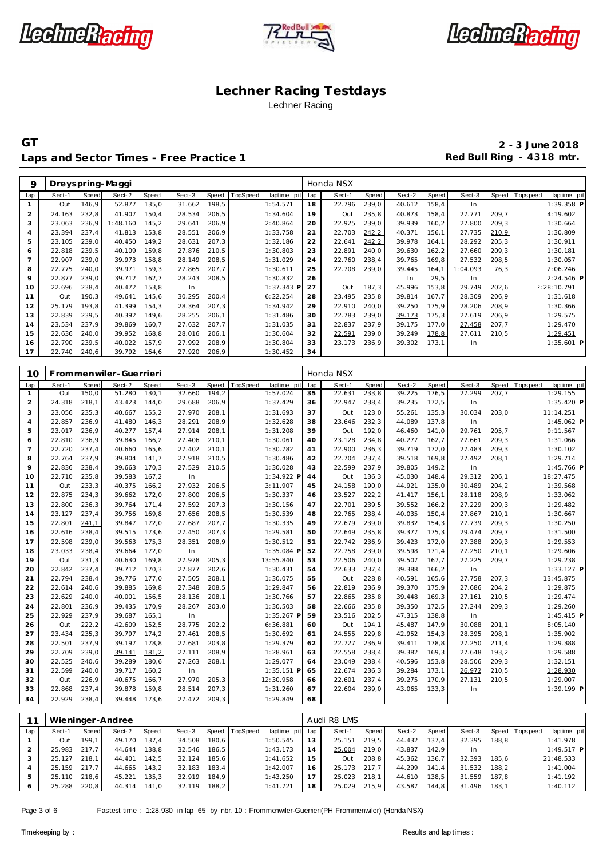





Laps and Sector Times - Free Practice 1 **Red Bull Ring - 4318 mtr.** 

**GT 2 - 3 June 2018**

| 9              |        |       | Dreyspring-Maggi |       |        |       |          |             |     | Honda NSX |       |        |       |          |       |           |              |
|----------------|--------|-------|------------------|-------|--------|-------|----------|-------------|-----|-----------|-------|--------|-------|----------|-------|-----------|--------------|
| lap            | Sect-1 | Speed | Sect-2           | Speed | Sect-3 | Speed | TopSpeed | laptime pit | lap | Sect-1    | Speed | Sect-2 | Speed | Sect-3   | Speed | Tops peed | laptime pit  |
|                | Out    | 146,9 | 52.877           | 135,0 | 31.662 | 198,5 |          | 1:54.571    | 18  | 22.796    | 239,0 | 40.612 | 158,4 | In.      |       |           | 1:39.358 P   |
| 2              | 24.163 | 232,8 | 41.907           | 150,4 | 28.534 | 206,5 |          | 1:34.604    | 19  | Out       | 235,8 | 40.873 | 158,4 | 27.771   | 209.7 |           | 4:19.602     |
| 3              | 23.063 | 236.9 | 1:48.160         | 145.2 | 29.641 | 206,9 |          | 2:40.864    | 20  | 22.925    | 239.0 | 39.939 | 160,2 | 27.800   | 209,3 |           | 1:30.664     |
| 4              | 23.394 | 237.4 | 41.813           | 153,8 | 28.551 | 206,9 |          | 1:33.758    | 21  | 22.703    | 242,2 | 40.371 | 156,1 | 27.735   | 210,9 |           | 1:30.809     |
| 5              | 23.105 | 239,0 | 40.450           | 149,2 | 28.631 | 207,3 |          | 1:32.186    | 22  | 22.641    | 242,2 | 39.978 | 164,1 | 28.292   | 205,3 |           | 1:30.911     |
| 6              | 22.818 | 239.5 | 40.109           | 159.8 | 27.876 | 210,5 |          | 1:30.803    | 23  | 22.891    | 240.0 | 39.630 | 162,2 | 27.660   | 209,3 |           | 1:30.181     |
| $\overline{7}$ | 22.907 | 239.0 | 39.973           | 158,8 | 28.149 | 208,5 |          | 1:31.029    | 24  | 22.760    | 238,4 | 39.765 | 169,8 | 27.532   | 208,5 |           | 1:30.057     |
| 8              | 22.775 | 240.0 | 39.971           | 159.3 | 27.865 | 207,7 |          | 1:30.611    | 25  | 22.708    | 239.0 | 39.445 | 164,1 | 1:04.093 | 76,3  |           | 2:06.246     |
| 9              | 22.877 | 239.0 | 39.712           | 162.7 | 28.243 | 208,5 |          | 1:30.832    | 26  |           |       | In     | 29,5  | In       |       |           | 2:24.546 P   |
| 10             | 22.696 | 238.4 | 40.472           | 153,8 | In     |       |          | 1:37.343 P  | 27  | Out       | 187.3 | 45.996 | 153,8 | 29.749   | 202,6 |           | !:28:10.791  |
| 11             | Out    | 190.3 | 49.641           | 145,6 | 30.295 | 200,4 |          | 6:22.254    | 28  | 23.495    | 235,8 | 39.814 | 167,7 | 28.309   | 206,9 |           | 1:31.618     |
| 12             | 25.179 | 193.8 | 41.399           | 154.3 | 28.364 | 207,3 |          | 1:34.942    | 29  | 22.910    | 240.0 | 39.250 | 175.9 | 28.206   | 208,9 |           | 1:30.366     |
| 13             | 22.839 | 239,5 | 40.392           | 149.6 | 28.255 | 206,1 |          | 1:31.486    | 30  | 22.783    | 239,0 | 39.173 | 175,3 | 27.619   | 206,9 |           | 1:29.575     |
| 14             | 23.534 | 237.9 | 39.869           | 160.7 | 27.632 | 207,7 |          | 1:31.035    | 31  | 22.837    | 237,9 | 39.175 | 177,0 | 27.458   | 207,7 |           | 1:29.470     |
| 15             | 22.636 | 240,0 | 39.952           | 168,8 | 28.016 | 206,1 |          | 1:30.604    | 32  | 22.591    | 239,0 | 39.249 | 178,8 | 27.611   | 210,5 |           | 1:29.451     |
| 16             | 22.790 | 239,5 | 40.022           | 157,9 | 27.992 | 208,9 |          | 1:30.804    | 33  | 23.173    | 236,9 | 39.302 | 173,1 | In.      |       |           | $1:35.601$ P |
| 17             | 22.740 | 240,6 | 39.792           | 164,6 | 27.920 | 206,9 |          | 1:30.452    | 34  |           |       |        |       |          |       |           |              |

| 10             |        |       | Frommenwiler-Guerrieri |       |        |        |          |              |     | Honda NSX |              |        |       |        |       |                               |
|----------------|--------|-------|------------------------|-------|--------|--------|----------|--------------|-----|-----------|--------------|--------|-------|--------|-------|-------------------------------|
| lap            | Sect-1 | Speed | Sect-2                 | Speed | Sect-3 | Speed  | TopSpeed | laptime pit  | lap | Sect-1    | <b>Speed</b> | Sect-2 | Speed | Sect-3 |       | Speed Topspeed<br>laptime pit |
| $\mathbf{1}$   | Out    | 150,0 | 51.280                 | 130,1 | 32.660 | 194,2  |          | 1:57.024     | 35  | 22.631    | 233,8        | 39.225 | 176,5 | 27.299 | 207.7 | 1:29.155                      |
| $\overline{2}$ | 24.318 | 218,1 | 43.423                 | 144,0 | 29.688 | 206,9  |          | 1:37.429     | 36  | 22.947    | 238,4        | 39.235 | 172,5 | In     |       | 1:35.420 P                    |
| 3              | 23.056 | 235,3 | 40.667                 | 155,2 | 27.970 | 208,1  |          | 1:31.693     | 37  | Out       | 123,0        | 55.261 | 135,3 | 30.034 | 203,0 | 11:14.251                     |
| $\overline{4}$ | 22.857 | 236,9 | 41.480                 | 146,3 | 28.291 | 208,9  |          | 1:32.628     | 38  | 23.646    | 232,3        | 44.089 | 137,8 | In     |       | 1:45.062 P                    |
| 5              | 23.017 | 236,9 | 40.277                 | 157,4 | 27.914 | 208,1  |          | 1:31.208     | 39  | Out       | 192,0        | 46.460 | 141,0 | 29.761 | 205,7 | 9:11.567                      |
| 6              | 22.810 | 236,9 | 39.845                 | 166,2 | 27.406 | 210,1  |          | 1:30.061     | 40  | 23.128    | 234,8        | 40.277 | 162,7 | 27.661 | 209,3 | 1:31.066                      |
| $\overline{7}$ | 22.720 | 237,4 | 40.660                 | 165,6 | 27.402 | 210,1  |          | 1:30.782     | 41  | 22.900    | 236,3        | 39.719 | 172,0 | 27.483 | 209,3 | 1:30.102                      |
| 8              | 22.764 | 237,9 | 39.804                 | 141,7 | 27.918 | 210,5  |          | 1:30.486     | 42  | 22.704    | 237,4        | 39.518 | 169,8 | 27.492 | 208,1 | 1:29.714                      |
| 9              | 22.836 | 238,4 | 39.663                 | 170,3 | 27.529 | 210,5  |          | 1:30.028     | 43  | 22.599    | 237,9        | 39.805 | 149,2 | In     |       | 1:45.766 P                    |
| 10             | 22.710 | 235,8 | 39.583                 | 167,2 | In     |        |          | 1:34.922 P   | 44  | Out       | 136,3        | 45.030 | 148,4 | 29.312 | 206,1 | 18:27.475                     |
| 11             | Out    | 233,3 | 40.375                 | 166,2 | 27.932 | 206,5  |          | 3:11.907     | 45  | 24.158    | 190,0        | 44.921 | 135,0 | 30.489 | 204,2 | 1:39.568                      |
| 12             | 22.875 | 234,3 | 39.662                 | 172,0 | 27.800 | 206,5  |          | 1:30.337     | 46  | 23.527    | 222,2        | 41.417 | 156,1 | 28.118 | 208,9 | 1:33.062                      |
| 13             | 22.800 | 236,3 | 39.764                 | 171.4 | 27.592 | 207,3  |          | 1:30.156     | 47  | 22.701    | 239,5        | 39.552 | 166,2 | 27.229 | 209,3 | 1:29.482                      |
| 14             | 23.127 | 237,4 | 39.756                 | 169,8 | 27.656 | 208,5  |          | 1:30.539     | 48  | 22.765    | 238,4        | 40.035 | 150,4 | 27.867 | 210,1 | 1:30.667                      |
| 15             | 22.801 | 241,1 | 39.847                 | 172,0 | 27.687 | 207,7  |          | 1:30.335     | 49  | 22.679    | 239,0        | 39.832 | 154,3 | 27.739 | 209,3 | 1:30.250                      |
| 16             | 22.616 | 238,4 | 39.515                 | 173,6 | 27.450 | 207,3  |          | 1:29.581     | 50  | 22.649    | 235,8        | 39.377 | 175,3 | 29.474 | 209,7 | 1:31.500                      |
| 17             | 22.598 | 239,0 | 39.563                 | 175,3 | 28.351 | 208,9  |          | 1:30.512     | 51  | 22.742    | 236,9        | 39.423 | 172,0 | 27.388 | 209,3 | 1:29.553                      |
| 18             | 23.033 | 238,4 | 39.664                 | 172,0 | In     |        |          | 1:35.084 F   | 52  | 22.758    | 239,0        | 39.598 | 171,4 | 27.250 | 210,1 | 1:29.606                      |
| 19             | Out    | 231,3 | 40.630                 | 169,8 | 27.978 | 205,3  |          | 13:55.840    | 53  | 22.506    | 240,0        | 39.507 | 167,7 | 27.225 | 209,7 | 1:29.238                      |
| 20             | 22.842 | 237,4 | 39.712                 | 170,3 | 27.877 | 202,6  |          | 1:30.431     | 54  | 22.633    | 237,4        | 39.388 | 166,2 | In     |       | 1:33.127 P                    |
| 21             | 22.794 | 238,4 | 39.776                 | 177.0 | 27.505 | 208,1  |          | 1:30.075     | 55  | Out       | 228,8        | 40.591 | 165,6 | 27.758 | 207,3 | 13:45.875                     |
| 22             | 22.614 | 240,6 | 39.885                 | 169,8 | 27.348 | 208,5  |          | 1:29.847     | 56  | 22.819    | 236,9        | 39.370 | 175,9 | 27.686 | 204,2 | 1:29.875                      |
| 23             | 22.629 | 240,0 | 40.001                 | 156,5 | 28.136 | 208,1  |          | 1:30.766     | 57  | 22.865    | 235,8        | 39.448 | 169,3 | 27.161 | 210,5 | 1:29.474                      |
| 24             | 22.801 | 236,9 | 39.435                 | 170,9 | 28.267 | 203,0  |          | 1:30.503     | 58  | 22.666    | 235,8        | 39.350 | 172,5 | 27.244 | 209,3 | 1:29.260                      |
| 25             | 22.929 | 237,9 | 39.687                 | 165,1 | In.    |        |          | 1:35.267 P   | 59  | 23.516    | 202,5        | 47.315 | 138,8 | In     |       | $1:45.415$ P                  |
| 26             | Out    | 222,2 | 42.609                 | 152,5 | 28.775 | 202,2  |          | 6:36.881     | 60  | Out       | 194,1        | 45.487 | 147,9 | 30.088 | 201,1 | 8:05.140                      |
| 27             | 23.434 | 235,3 | 39.797                 | 174,2 | 27.461 | 208,5  |          | 1:30.692     | 61  | 24.555    | 229,8        | 42.952 | 154,3 | 28.395 | 208,1 | 1:35.902                      |
| 28             | 22.501 | 237,9 | 39.197                 | 178.8 | 27.681 | 203,8  |          | 1:29.379     | 62  | 22.727    | 236,9        | 39.411 | 178,8 | 27.250 | 211,4 | 1:29.388                      |
| 29             | 22.709 | 239,0 | 39.141                 | 181,2 | 27.111 | 208,9  |          | 1:28.961     | 63  | 22.558    | 238,4        | 39.382 | 169,3 | 27.648 | 193,2 | 1:29.588                      |
| 30             | 22.525 | 240,6 | 39.289                 | 180,6 | 27.263 | 208,1  |          | 1:29.077     | 64  | 23.049    | 238,4        | 40.596 | 153,8 | 28.506 | 209,3 | 1:32.151                      |
| 31             | 22.599 | 240,0 | 39.717                 | 160,2 | In     |        |          | $1:35.151$ P | 65  | 22.674    | 236,3        | 39.284 | 173,1 | 26.972 | 210,5 | 1:28.930                      |
| 32             | Out    | 226,9 | 40.675                 | 166,7 | 27.970 | 205, 3 |          | 12:30.958    | 66  | 22.601    | 237,4        | 39.275 | 170,9 | 27.131 | 210,5 | 1:29.007                      |
| 33             | 22.868 | 237,4 | 39.878                 | 159,8 | 28.514 | 207,3  |          | 1:31.260     | 67  | 22.604    | 239,0        | 43.065 | 133,3 | In     |       | 1:39.199 P                    |
| 34             | 22.929 | 238,4 | 39.448                 | 173,6 | 27.472 | 209,3  |          | 1:29.849     | 68  |           |              |        |       |        |       |                               |

|     |        |       | Wieninger-Andree |       |        |       |                 |                 |                | Audi R8 LMS  |       |        |       |        |       |                |              |
|-----|--------|-------|------------------|-------|--------|-------|-----------------|-----------------|----------------|--------------|-------|--------|-------|--------|-------|----------------|--------------|
| lap | Sect-1 | Speed | Sect-2           | Speed | Sect-3 | Speed | <b>TopSpeed</b> | laptime pit lap |                | Sect-1       | Speed | Sect-2 | Speed | Sect-3 |       | Speed Topspeed | laptime pit  |
|     | Out    | 199.1 | 49.170           | 137.4 | 34.508 | 180.6 |                 | 1:50.545        | 13             | 25.151       | 219.5 | 44.432 | 137.4 | 32.395 | 188.8 |                | 1:41.978     |
|     | 25.983 | 217.7 | 44.644           | 138.8 | 32.546 | 186.5 |                 | 1:43.173        | $\overline{4}$ | 25.004       | 219.0 | 43.837 | 142.9 |        |       |                | $1:49.517$ P |
|     | 25.127 | 218.1 | 44.401           | 142.5 | 32.124 | 185.6 |                 | 1:41.652        | 15             | Out          | 208,8 | 45.362 | 136.7 | 32.393 | 185.6 |                | 21:48.533    |
|     | 25.159 | 217.7 | 44.665           | 143,2 | 32.183 | 183.4 |                 | 1:42.007        | 16             | 25.173 217,7 |       | 44.299 | 141.4 | 31.532 | 188,2 |                | 1:41.004     |
|     | 25.110 | 218.6 | 45.221           | 135.3 | 32.919 | 184.9 |                 | 1:43.250        |                | 25.023       | 218.1 | 44.610 | 138.5 | 31.559 | 187.8 |                | 1:41.192     |
| 6   | 25.288 | 220,8 | 44.314           | 141.0 | 32.119 | 188.2 |                 | 1:41.721        | 18             | 25.029       | 215.9 | 43.587 | 144,8 | 31.496 | 183.1 |                | 1:40.112     |

Page 3 of 6 Fastest time : 1:28.930 in lap 65 by nbr. 10 : Frommenwiler-Guerrieri(PH Frommenwiler) (Honda NSX)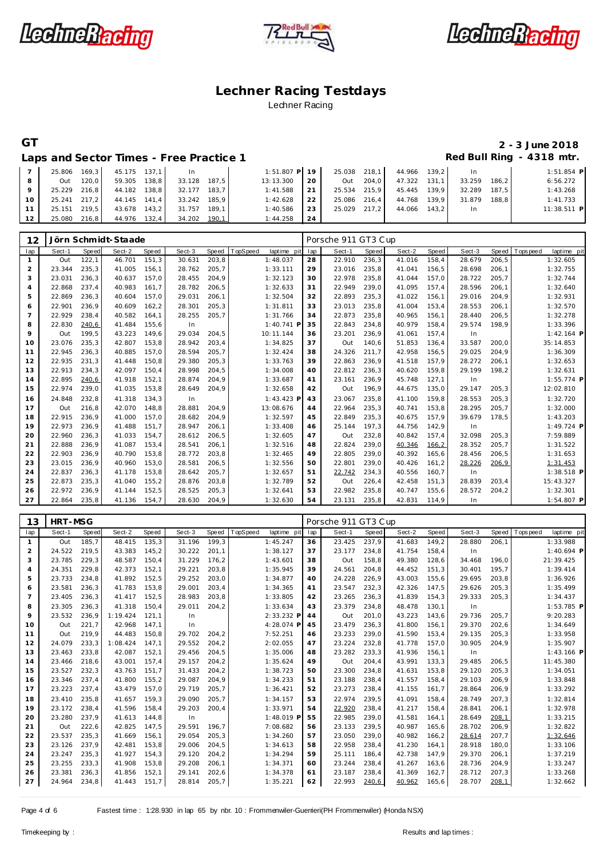





# **GT 2 - 3 June 2018**

Laps and Sector Times - Free Practice 1 **Red Bull Ring - 4318 mtr.** 

|                 |              |       | 25.806 169,3 45.175 137,1 | $\ln$                     | $1:51.807$ P $19$ 25.038 218.1 44.966 139.2 |    |              |           |              | In     |       | $1:51.854$ P |
|-----------------|--------------|-------|---------------------------|---------------------------|---------------------------------------------|----|--------------|-----------|--------------|--------|-------|--------------|
|                 | Out          | 120.0 | 59.305 138,8              | 33.128 187.5              | 13:13.300                                   | 20 |              | Out 204.0 | 47.322 131.1 | 33.259 | 186.2 | 6:56.272     |
|                 | 25.229       | 216.8 | 44.182 138,8              | 32.177 183.7              | 1:41.588                                    | 21 | 25.534 215.9 |           | 45.445 139.9 | 32.289 | 187.5 | 1:43.268     |
| $10-1$          | 25.241 217.2 |       |                           | 44.145 141.4 33.242 185.9 | 1:42.628                                    | 22 | 25.086 216.4 |           | 44.768 139.9 | 31.879 | 188.8 | 1:41.733     |
| 11 <sup>1</sup> | 25.151       | 219.5 | 43.678 143,2              | 31.757 189.1              | 1:40.586                                    | 23 | 25.029 217.2 |           | 44.066 143.2 | In.    |       | 11:38.511 P  |
| 12 <sub>1</sub> | 25.080 216,8 |       | 44.976 132,4              | 34.202 190.1              | 1:44.258                                    | 24 |              |           |              |        |       |              |

| 12             |        |       | Jörn Schmidt-Staade |        |        |       |          |              |     | Porsche 911 GT3 Cup |       |        |       |        |        |             |              |
|----------------|--------|-------|---------------------|--------|--------|-------|----------|--------------|-----|---------------------|-------|--------|-------|--------|--------|-------------|--------------|
| lap            | Sect-1 | Speed | Sect-2              | Speed  | Sect-3 | Speed | TopSpeed | laptime pit  | lap | Sect-1              | Speed | Sect-2 | Speed | Sect-3 | Speed  | T ops pee d | laptime pit  |
| $\mathbf{1}$   | Out    | 122,1 | 46.701              | 151,3  | 30.631 | 203,8 |          | 1:48.037     | 28  | 22.910              | 236,3 | 41.016 | 158,4 | 28.679 | 206,5  |             | 1:32.605     |
| 2              | 23.344 | 235,3 | 41.005              | 156.1  | 28.762 | 205,7 |          | 1:33.111     | 29  | 23.016              | 235,8 | 41.041 | 156,5 | 28.698 | 206,1  |             | 1:32.755     |
| 3              | 23.031 | 236.3 | 40.637              | 157.0  | 28.455 | 204,9 |          | 1:32.123     | 30  | 22.978              | 235,8 | 41.044 | 157,0 | 28.722 | 205,7  |             | 1:32.744     |
| $\overline{4}$ | 22.868 | 237.4 | 40.983              | 161.7  | 28.782 | 206,5 |          | 1:32.633     | 31  | 22.949              | 239.0 | 41.095 | 157,4 | 28.596 | 206.1  |             | 1:32.640     |
| 5              | 22.869 | 236,3 | 40.604              | 157,0  | 29.031 | 206,1 |          | 1:32.504     | 32  | 22.893              | 235,3 | 41.022 | 156,1 | 29.016 | 204,9  |             | 1:32.931     |
| 6              | 22.901 | 236,9 | 40.609              | 162, 2 | 28.301 | 205,3 |          | 1:31.811     | 33  | 23.013              | 235,8 | 41.004 | 153,4 | 28.553 | 206,1  |             | 1:32.570     |
| $\overline{7}$ | 22.929 | 238.4 | 40.582              | 164.1  | 28.255 | 205,7 |          | 1:31.766     | 34  | 22.873              | 235,8 | 40.965 | 156,1 | 28.440 | 206,5  |             | 1:32.278     |
| 8              | 22.830 | 240,6 | 41.484              | 155.6  | In     |       |          | $1:40.741$ P | 35  | 22.843              | 234,8 | 40.979 | 158,4 | 29.574 | 198.9  |             | 1:33.396     |
| 9              | Out    | 199.5 | 43.223              | 149.6  | 29.034 | 204.5 |          | 10:11.144    | 36  | 23.201              | 236,9 | 41.061 | 157,4 | In     |        |             | $1:42.164$ P |
| 10             | 23.076 | 235,3 | 42.807              | 153,8  | 28.942 | 203,4 |          | 1:34.825     | 37  | Out                 | 140,6 | 51.853 | 136,4 | 33.587 | 200.0  |             | 35:14.853    |
| 11             | 22.945 | 236.3 | 40.885              | 157.0  | 28.594 | 205,7 |          | 1:32.424     | 38  | 24.326              | 211.7 | 42.958 | 156,5 | 29.025 | 204,9  |             | 1:36.309     |
| 12             | 22.935 | 231.3 | 41.448              | 150.8  | 29.380 | 205,3 |          | 1:33.763     | 39  | 22.863              | 236,9 | 41.518 | 157,9 | 28.272 | 206.1  |             | 1:32.653     |
| 13             | 22.913 | 234,3 | 42.097              | 150,4  | 28.998 | 204,5 |          | 1:34.008     | 40  | 22.812              | 236,3 | 40.620 | 159,8 | 29.199 | 198,2  |             | 1:32.631     |
| 14             | 22.895 | 240,6 | 41.918              | 152,1  | 28.874 | 204,9 |          | 1:33.687     | 41  | 23.161              | 236,9 | 45.748 | 127,1 | In     |        |             | 1:55.774 P   |
| 15             | 22.974 | 239,0 | 41.035              | 153,8  | 28.649 | 204,9 |          | 1:32.658     | 42  | Out                 | 196,9 | 44.675 | 135,0 | 29.147 | 205,3  |             | 12:02.810    |
| 16             | 24.848 | 232,8 | 41.318              | 134.3  | In     |       |          | 1:43.423 P   | 43  | 23.067              | 235,8 | 41.100 | 159,8 | 28.553 | 205, 3 |             | 1:32.720     |
| 17             | Out    | 216.8 | 42.070              | 148.8  | 28.881 | 204.9 |          | 13:08.676    | 44  | 22.964              | 235,3 | 40.741 | 153,8 | 28.295 | 205,7  |             | 1:32.000     |
| 18             | 22.915 | 236,9 | 41.000              | 157,0  | 28.682 | 204,9 |          | 1:32.597     | 45  | 22.849              | 235,3 | 40.675 | 157,9 | 39.679 | 178,5  |             | 1:43.203     |
| 19             | 22.973 | 236,9 | 41.488              | 151,7  | 28.947 | 206,1 |          | 1:33.408     | 46  | 25.144              | 197,3 | 44.756 | 142,9 | In     |        |             | 1:49.724 P   |
| 20             | 22.960 | 236.3 | 41.033              | 154.7  | 28.612 | 206,5 |          | 1:32.605     | 47  | Out                 | 232,8 | 40.842 | 157,4 | 32.098 | 205.3  |             | 7:59.889     |
| 21             | 22.888 | 236.9 | 41.087              | 153.4  | 28.541 | 206.1 |          | 1:32.516     | 48  | 22.824              | 239,0 | 40.346 | 166,2 | 28.352 | 205,7  |             | 1:31.522     |
| 22             | 22.903 | 236,9 | 40.790              | 153,8  | 28.772 | 203,8 |          | 1:32.465     | 49  | 22.805              | 239,0 | 40.392 | 165,6 | 28.456 | 206,5  |             | 1:31.653     |
| 23             | 23.015 | 236.9 | 40.960              | 153.0  | 28.581 | 206,5 |          | 1:32.556     | 50  | 22.801              | 239,0 | 40.426 | 161,2 | 28.226 | 206,9  |             | 1:31.453     |
| 24             | 22.837 | 236.3 | 41.178              | 153.8  | 28.642 | 205,7 |          | 1:32.657     | 51  | 22.742              | 234,3 | 40.556 | 160.7 | In     |        |             | $1:38.518$ P |
| 25             | 22.873 | 235,3 | 41.040              | 155,2  | 28.876 | 203,8 |          | 1:32.789     | 52  | Out                 | 226,4 | 42.458 | 151,3 | 28.839 | 203,4  |             | 15:43.327    |
| 26             | 22.972 | 236.9 | 41.144              | 152,5  | 28.525 | 205,3 |          | 1:32.641     | 53  | 22.982              | 235,8 | 40.747 | 155,6 | 28.572 | 204,2  |             | 1:32.301     |
| 27             | 22.864 | 235,8 | 41.136              | 154,7  | 28.630 | 204,9 |          | 1:32.630     | 54  | 23.131              | 235,8 | 42.831 | 114,9 | In     |        |             | 1:54.807 P   |

| 13             | <b>HRT-MSG</b> |       |          |       |        |       |          |              |     | Porsche 911 GT3 Cup |       |        |       |        |        |             |              |
|----------------|----------------|-------|----------|-------|--------|-------|----------|--------------|-----|---------------------|-------|--------|-------|--------|--------|-------------|--------------|
| lap            | Sect-1         | Speed | Sect-2   | Speed | Sect-3 | Speed | TopSpeed | laptime pit  | lap | Sect-1              | Speed | Sect-2 | Speed | Sect-3 | Speed  | T ops pee d | laptime pit  |
| 1              | Out            | 185.7 | 48.415   | 135.3 | 31.196 | 199.3 |          | 1:45.247     | 36  | 23.425              | 237.9 | 41.683 | 149,2 | 28.880 | 206.1  |             | 1:33.988     |
| 2              | 24.522         | 219,5 | 43.383   | 145,2 | 30.222 | 201,1 |          | 1:38.127     | 37  | 23.177              | 234,8 | 41.754 | 158,4 | In     |        |             | $1:40.694$ P |
| 3              | 23.785         | 229,3 | 48.587   | 150,4 | 31.229 | 176,2 |          | 1:43.601     | 38  | Out                 | 158,8 | 49.380 | 128,6 | 34.468 | 196.0  |             | 21:39.425    |
| $\overline{4}$ | 24.351         | 229.8 | 42.373   | 152.1 | 29.221 | 203,8 |          | 1:35.945     | 39  | 24.561              | 204.8 | 44.452 | 151.3 | 30.401 | 195,7  |             | 1:39.414     |
| 5              | 23.733         | 234,8 | 41.892   | 152,5 | 29.252 | 203,0 |          | 1:34.877     | 40  | 24.228              | 226,9 | 43.003 | 155,6 | 29.695 | 203,8  |             | 1:36.926     |
| 6              | 23.581         | 236,3 | 41.783   | 153.8 | 29.001 | 203,4 |          | 1:34.365     | 41  | 23.547              | 232,3 | 42.326 | 147,5 | 29.626 | 205,3  |             | 1:35.499     |
| 7              | 23.405         | 236,3 | 41.417   | 152,5 | 28.983 | 203,8 |          | 1:33.805     | 42  | 23.265              | 236,3 | 41.839 | 154,3 | 29.333 | 205,3  |             | 1:34.437     |
| 8              | 23.305         | 236.3 | 41.318   | 150.4 | 29.011 | 204,2 |          | 1:33.634     | 43  | 23.379              | 234.8 | 48.478 | 130.1 | In     |        |             | $1:53.785$ P |
| 9              | 23.532         | 236,9 | 1:19.424 | 121,1 | In     |       |          | 2:33.232 P   | 44  | Out                 | 201,0 | 43.223 | 143,6 | 29.736 | 205,7  |             | 9:20.283     |
| 10             | Out            | 221,7 | 42.968   | 147.1 | In     |       |          | 4:28.074 P   | 45  | 23.479              | 236,3 | 41.800 | 156,1 | 29.370 | 202,6  |             | 1:34.649     |
| 11             | Out            | 219,9 | 44.483   | 150.8 | 29.702 | 204.2 |          | 7:52.251     | 46  | 23.233              | 239,0 | 41.590 | 153,4 | 29.135 | 205, 3 |             | 1:33.958     |
| 12             | 24.079         | 233,3 | 1:08.424 | 147.1 | 29.552 | 204,2 |          | 2:02.055     | 47  | 23.224              | 232,8 | 41.778 | 157,0 | 30.905 | 204,9  |             | 1:35.907     |
| 13             | 23.463         | 233,8 | 42.087   | 152,1 | 29.456 | 204,5 |          | 1:35.006     | 48  | 23.282              | 233,3 | 41.936 | 156,1 | In     |        |             | $1:43.166$ P |
| 14             | 23.466         | 218.6 | 43.001   | 157.4 | 29.157 | 204,2 |          | 1:35.624     | 49  | Out                 | 204.4 | 43.991 | 133,3 | 29.485 | 206.5  |             | 11:45.380    |
| 15             | 23.527         | 232,3 | 43.763   | 151,7 | 31.433 | 204,2 |          | 1:38.723     | 50  | 23.300              | 234,8 | 41.631 | 153,8 | 29.120 | 205,3  |             | 1:34.051     |
| 16             | 23.346         | 237,4 | 41.800   | 155,2 | 29.087 | 204,9 |          | 1:34.233     | 51  | 23.188              | 238,4 | 41.557 | 158,4 | 29.103 | 206,9  |             | 1:33.848     |
| 17             | 23.223         | 237,4 | 43.479   | 157.0 | 29.719 | 205,7 |          | 1:36.421     | 52  | 23.273              | 238,4 | 41.155 | 161.7 | 28.864 | 206,9  |             | 1:33.292     |
| 18             | 23.410         | 235.8 | 41.657   | 159.3 | 29.090 | 205,7 |          | 1:34.157     | 53  | 22.974              | 239.5 | 41.091 | 158.4 | 28.749 | 207.3  |             | 1:32.814     |
| 19             | 23.172         | 238,4 | 41.596   | 158,4 | 29.203 | 200,4 |          | 1:33.971     | 54  | 22.920              | 238,4 | 41.217 | 158,4 | 28.841 | 206,1  |             | 1:32.978     |
| 20             | 23.280         | 237.9 | 41.613   | 144.8 | In     |       |          | $1:48.019$ P | 55  | 22.985              | 239.0 | 41.581 | 164.1 | 28.649 | 208,1  |             | 1:33.215     |
| 21             | Out            | 222,6 | 42.825   | 147.5 | 29.591 | 196.7 |          | 7:08.682     | 56  | 23.133              | 239.5 | 40.987 | 165.6 | 28.702 | 206,9  |             | 1:32.822     |
| 22             | 23.537         | 235,3 | 41.669   | 156,1 | 29.054 | 205,3 |          | 1:34.260     | 57  | 23.050              | 239,0 | 40.982 | 166,2 | 28.614 | 207,7  |             | 1:32.646     |
| 23             | 23.126         | 237.9 | 42.481   | 153,8 | 29.006 | 204,5 |          | 1:34.613     | 58  | 22.958              | 238,4 | 41.230 | 164,1 | 28.918 | 180,0  |             | 1:33.106     |
| 24             | 23.247         | 235,3 | 41.927   | 154.3 | 29.120 | 204,2 |          | 1:34.294     | 59  | 25.111              | 186.4 | 42.738 | 147.9 | 29.370 | 206,1  |             | 1:37.219     |
| 25             | 23.255         | 233,3 | 41.908   | 153,8 | 29.208 | 206,1 |          | 1:34.371     | 60  | 23.244              | 238,4 | 41.267 | 163,6 | 28.736 | 204,9  |             | 1:33.247     |
| 26             | 23.381         | 236,3 | 41.856   | 152,1 | 29.141 | 202,6 |          | 1:34.378     | 61  | 23.187              | 238,4 | 41.369 | 162,7 | 28.712 | 207,3  |             | 1:33.268     |
| 27             | 24.964         | 234,8 | 41.443   | 151,7 | 28.814 | 205,7 |          | 1:35.221     | 62  | 22.993              | 240,6 | 40.962 | 165,6 | 28.707 | 208,1  |             | 1:32.662     |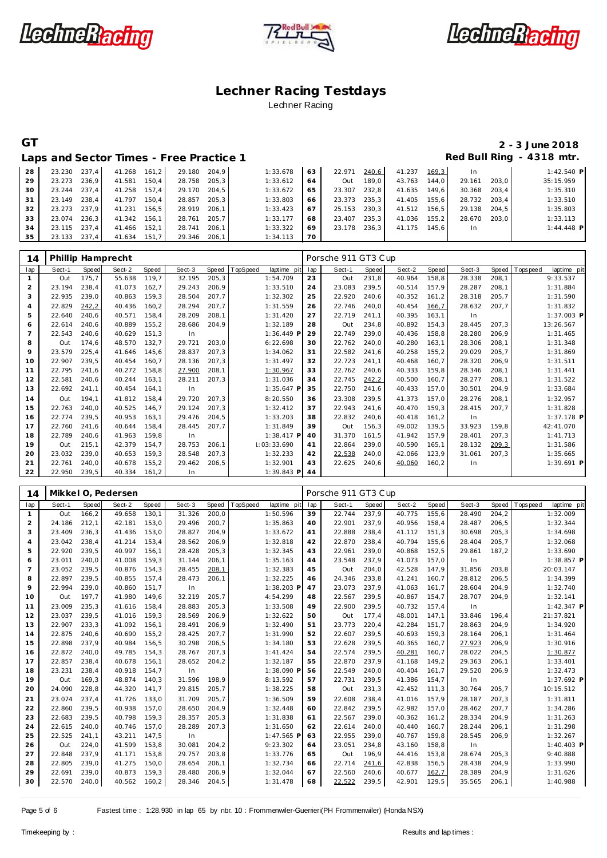





## **GT 2 - 3 June 2018** Red Bull Ring - 4318 mtr.

| Laps and Sector Times - Free Practice 1 |
|-----------------------------------------|
|-----------------------------------------|

| 28 | 23.230 237.4 |       | 41.268 | 161.2 | 29.180 | 204.9 | 1:33.678 | 63 | 22.971 | 240,6 | 41.237 | 169.3 | <b>In</b> |       | $1:42.540$ P |
|----|--------------|-------|--------|-------|--------|-------|----------|----|--------|-------|--------|-------|-----------|-------|--------------|
| 29 | 23.273       | 236.9 | 41.581 | 150.4 | 28.758 | 205.3 | 1:33.612 | 64 | Out    | 189.0 | 43.763 | 144.0 | 29.161    | 203.0 | 35:15.959    |
| 30 | 23.244       | 237.4 | 41.258 | 157.4 | 29.170 | 204.5 | 1:33.672 | 65 | 23.307 | 232.8 | 41.635 | 149.6 | 30.368    | 203.4 | 1:35.310     |
| 31 | 23.149       | 238.4 | 41.797 | 150.4 | 28.857 | 205.3 | 1:33.803 | 66 | 23.373 | 235.3 | 41.405 | 155.6 | 28.732    | 203.4 | 1:33.510     |
| 32 | 23.273       | 237.9 | 41.231 | 156.5 | 28.919 | 206.1 | 1:33.423 | 67 | 25.153 | 230.3 | 41.512 | 156.5 | 29.138    | 204.5 | 1:35.803     |
| 33 | 23.074       | 236.3 | 41.342 | 156.1 | 28.761 | 205.7 | 1:33.177 | 68 | 23.407 | 235.3 | 41.036 | 155.2 | 28.670    | 203.0 | 1:33.113     |
| 34 | 23.115 237.4 |       | 41.466 | 152.1 | 28.741 | 206.1 | 1:33.322 | 69 | 23.178 | 236,3 | 41.175 | 145.6 | In.       |       | $1:44.448$ P |
| 35 | 23.133       | 237.4 | 41.634 | 151.7 | 29.346 | 206.1 | 1:34.113 | 70 |        |       |        |       |           |       |              |

| 14             |        |       | Phillip Hamprecht |        |        |       |          |                 | Porsche 911 GT3 Cup |        |       |        |       |        |       |            |             |
|----------------|--------|-------|-------------------|--------|--------|-------|----------|-----------------|---------------------|--------|-------|--------|-------|--------|-------|------------|-------------|
| lap            | Sect-1 | Speed | Sect-2            | Speed  | Sect-3 | Speed | TopSpeed | laptime pit     | lap                 | Sect-1 | Speed | Sect-2 | Speed | Sect-3 | Speed | T ops peed | laptime pit |
| $\mathbf{1}$   | Out    | 175,7 | 55.638            | 119,7  | 32.195 | 205,3 |          | 1:54.709        | 23                  | Out    | 231,8 | 40.964 | 158,8 | 28.338 | 208,1 |            | 9:33.537    |
| $\overline{2}$ | 23.194 | 238.4 | 41.073            | 162,7  | 29.243 | 206,9 |          | 1:33.510        | 24                  | 23.083 | 239,5 | 40.514 | 157,9 | 28.287 | 208,1 |            | 1:31.884    |
| 3              | 22.935 | 239.0 | 40.863            | 159,3  | 28.504 | 207,7 |          | 1:32.302        | 25                  | 22.920 | 240,6 | 40.352 | 161,2 | 28.318 | 205,7 |            | 1:31.590    |
| $\overline{a}$ | 22.829 | 242,2 | 40.436            | 160.2  | 28.294 | 207,7 |          | 1:31.559        | 26                  | 22.746 | 240.0 | 40.454 | 166,7 | 28.632 | 207,7 |            | 1:31.832    |
| 5              | 22.640 | 240.6 | 40.571            | 158.4  | 28.209 | 208,1 |          | 1:31.420        | 27                  | 22.719 | 241,1 | 40.395 | 163,1 | In     |       |            | 1:37.003 P  |
| 6              | 22.614 | 240,6 | 40.889            | 155,2  | 28.686 | 204,9 |          | 1:32.189        | 28                  | Out    | 234,8 | 40.892 | 154,3 | 28.445 | 207,3 |            | 13:26.567   |
| $\overline{7}$ | 22.543 | 240.6 | 40.629            | 151.3  | In     |       |          | 1:36.449 F      | 29                  | 22.749 | 239.0 | 40.436 | 158.8 | 28.280 | 206.9 |            | 1:31.465    |
| 8              | Out    | 174.6 | 48.570            | 132.7  | 29.721 | 203,0 |          | 6:22.698        | 30                  | 22.762 | 240.0 | 40.280 | 163.1 | 28.306 | 208,1 |            | 1:31.348    |
| 9              | 23.579 | 225,4 | 41.646            | 145.6  | 28.837 | 207,3 |          | 1:34.062        | 31                  | 22.582 | 241,6 | 40.258 | 155,2 | 29.029 | 205,7 |            | 1:31.869    |
| 10             | 22.907 | 239.5 | 40.454            | 160.7  | 28.136 | 207,3 |          | 1:31.497        | 32                  | 22.723 | 241.1 | 40.468 | 160.7 | 28.320 | 206,9 |            | 1:31.511    |
| 11             | 22.795 | 241.6 | 40.272            | 158.8  | 27.900 | 208,1 |          | 1:30.967        | 33                  | 22.762 | 240,6 | 40.333 | 159.8 | 28.346 | 208,1 |            | 1:31.441    |
| 12             | 22.581 | 240,6 | 40.244            | 163,1  | 28.211 | 207,3 |          | 1:31.036        | 34                  | 22.745 | 242,2 | 40.500 | 160,7 | 28.277 | 208,1 |            | 1:31.522    |
| 13             | 22.692 | 241,1 | 40.454            | 164,1  | In     |       |          | 1:35.647 P      | 35                  | 22.750 | 241,6 | 40.433 | 157,0 | 30.501 | 204,9 |            | 1:33.684    |
| 14             | Out    | 194.1 | 41.812            | 158.4  | 29.720 | 207,3 |          | 8:20.550        | 36                  | 23.308 | 239,5 | 41.373 | 157.0 | 28.276 | 208,1 |            | 1:32.957    |
| 15             | 22.763 | 240.0 | 40.525            | 146.7  | 29.124 | 207,3 |          | 1:32.412        | 37                  | 22.943 | 241,6 | 40.470 | 159,3 | 28.415 | 207.7 |            | 1:31.828    |
| 16             | 22.774 | 239,5 | 40.953            | 163,1  | 29.476 | 204,5 |          | 1:33.203        | 38                  | 22.832 | 240,6 | 40.418 | 161,2 | In     |       |            | 1:37.178 P  |
| 17             | 22.760 | 241.6 | 40.644            | 158,4  | 28.445 | 207,7 |          | 1:31.849        | 39                  | Out    | 156,3 | 49.002 | 139,5 | 33.923 | 159.8 |            | 42:41.070   |
| 18             | 22.789 | 240.6 | 41.963            | 159.8  | In     |       |          | $1:38.417$ P    | 40                  | 31.370 | 161,5 | 41.942 | 157,9 | 28.401 | 207,3 |            | 1:41.713    |
| 19             | Out    | 215,1 | 42.379            | 154,7  | 28.753 | 206,1 |          | 1:03:33.690     | 41                  | 22.864 | 239,0 | 40.590 | 165,1 | 28.132 | 209,3 |            | 1:31.586    |
| 20             | 23.032 | 239.0 | 40.653            | 159.3  | 28.548 | 207,3 |          | 1:32.233        | 42                  | 22.538 | 240,0 | 42.066 | 123,9 | 31.061 | 207,3 |            | 1:35.665    |
| 21             | 22.761 | 240.0 | 40.678            | 155, 2 | 29.462 | 206,5 |          | 1:32.901        | 43                  | 22.625 | 240.6 | 40.060 | 160,2 | In     |       |            | 1:39.691 P  |
| 22             | 22.950 | 239,5 | 40.334            | 161,2  | In     |       |          | $1:39.843$ P 44 |                     |        |       |        |       |        |       |            |             |

| 14             |        | Mikkel O. Pedersen |        |        |        |        | Porsche 911 GT3 Cup |             |     |        |       |        |       |        |              |            |              |  |
|----------------|--------|--------------------|--------|--------|--------|--------|---------------------|-------------|-----|--------|-------|--------|-------|--------|--------------|------------|--------------|--|
| lap            | Sect-1 | Speed              | Sect-2 | Speed  | Sect-3 | Speed  | TopSpeed            | laptime pit | lap | Sect-1 | Speed | Sect-2 | Speed | Sect-3 | <b>Speed</b> | T ops peed | laptime pit  |  |
| 1              | Out    | 166,2              | 49.658 | 130,1  | 31.326 | 200.0  |                     | 1:50.596    | 39  | 22.744 | 237,9 | 40.775 | 155,6 | 28.490 | 204,2        |            | 1:32.009     |  |
| 2              | 24.186 | 212,1              | 42.181 | 153,0  | 29.496 | 200,7  |                     | 1:35.863    | 40  | 22.901 | 237,9 | 40.956 | 158,4 | 28.487 | 206,5        |            | 1:32.344     |  |
| 3              | 23.409 | 236,3              | 41.436 | 153,0  | 28.827 | 204,9  |                     | 1:33.672    | 41  | 22.888 | 238,4 | 41.112 | 151,3 | 30.698 | 205, 3       |            | 1:34.698     |  |
| $\overline{4}$ | 23.042 | 238.4              | 41.214 | 153.4  | 28.562 | 206,9  |                     | 1:32.818    | 42  | 22.870 | 238.4 | 40.794 | 155,6 | 28.404 | 205.7        |            | 1:32.068     |  |
| 5              | 22.920 | 239,5              | 40.997 | 156,1  | 28.428 | 205, 3 |                     | 1:32.345    | 43  | 22.961 | 239,0 | 40.868 | 152,5 | 29.861 | 187,2        |            | 1:33.690     |  |
| 6              | 23.011 | 240,0              | 41.008 | 159,3  | 31.144 | 206,1  |                     | 1:35.163    | 44  | 23.548 | 237,9 | 41.073 | 157,0 | In     |              |            | 1:38.857 P   |  |
| $\overline{7}$ | 23.052 | 239,5              | 40.876 | 154,3  | 28.455 | 208,1  |                     | 1:32.383    | 45  | Out    | 204,0 | 42.528 | 147,9 | 31.856 | 203,8        |            | 20:03.147    |  |
| 8              | 22.897 | 239,5              | 40.855 | 157.4  | 28.473 | 206,1  |                     | 1:32.225    | 46  | 24.346 | 233,8 | 41.241 | 160,7 | 28.812 | 206,5        |            | 1:34.399     |  |
| 9              | 22.994 | 239,0              | 40.860 | 151,7  | In     |        |                     | 1:38.203 P  | 47  | 23.073 | 237,9 | 41.063 | 161,7 | 28.604 | 204,9        |            | 1:32.740     |  |
| 10             | Out    | 197,7              | 41.980 | 149,6  | 32.219 | 205,7  |                     | 4:54.299    | 48  | 22.567 | 239,5 | 40.867 | 154,7 | 28.707 | 204,9        |            | 1:32.141     |  |
| 11             | 23.009 | 235.3              | 41.616 | 158.4  | 28.883 | 205,3  |                     | 1:33.508    | 49  | 22.900 | 239,5 | 40.732 | 157,4 | In     |              |            | 1:42.347 P   |  |
| 12             | 23.037 | 239.5              | 41.016 | 159.3  | 28.569 | 206,9  |                     | 1:32.622    | 50  | Out    | 177,4 | 48.001 | 147.1 | 33.846 | 196.4        |            | 21:37.821    |  |
| 13             | 22.907 | 233.3              | 41.092 | 156,1  | 28.491 | 206,9  |                     | 1:32.490    | 51  | 23.773 | 220,4 | 42.284 | 151,7 | 28.863 | 204,9        |            | 1:34.920     |  |
| 14             | 22.875 | 240,6              | 40.690 | 155,2  | 28.425 | 207,7  |                     | 1:31.990    | 52  | 22.607 | 239,5 | 40.693 | 159,3 | 28.164 | 206,1        |            | 1:31.464     |  |
| 15             | 22.898 | 237,9              | 40.984 | 156,5  | 30.298 | 206,5  |                     | 1:34.180    | 53  | 22.628 | 239,5 | 40.365 | 160,7 | 27.923 | 206,9        |            | 1:30.916     |  |
| 16             | 22.872 | 240,0              | 49.785 | 154.3  | 28.767 | 207,3  |                     | 1: 41.424   | 54  | 22.574 | 239,5 | 40.281 | 160,7 | 28.022 | 204,5        |            | 1:30.877     |  |
| 17             | 22.857 | 238.4              | 40.678 | 156.1  | 28.652 | 204,2  |                     | 1:32.187    | 55  | 22.870 | 237,9 | 41.168 | 149,2 | 29.363 | 206,1        |            | 1:33.401     |  |
| 18             | 23.231 | 238,4              | 40.918 | 154,7  | In     |        |                     | 1:38.090 P  | 56  | 22.549 | 240,0 | 40.404 | 161,7 | 29.520 | 206,9        |            | 1:32.473     |  |
| 19             | Out    | 169,3              | 48.874 | 140,3  | 31.596 | 198,9  |                     | 8:13.592    | 57  | 22.731 | 239,5 | 41.386 | 154,7 | In     |              |            | 1:37.692 P   |  |
| 20             | 24.090 | 228,8              | 44.320 | 141.7  | 29.815 | 205,7  |                     | 1:38.225    | 58  | Out    | 231,3 | 42.452 | 111,3 | 30.764 | 205,7        |            | 10:15.512    |  |
| 21             | 23.074 | 237.4              | 41.726 | 133.0  | 31.709 | 205,7  |                     | 1:36.509    | 59  | 22.608 | 238,4 | 41.016 | 157,9 | 28.187 | 207,3        |            | 1:31.811     |  |
| 22             | 22.860 | 239,5              | 40.938 | 157,0  | 28.650 | 204,9  |                     | 1:32.448    | 60  | 22.842 | 239,5 | 42.982 | 157,0 | 28.462 | 207,7        |            | 1:34.286     |  |
| 23             | 22.683 | 239,5              | 40.798 | 159,3  | 28.357 | 205,3  |                     | 1:31.838    | 61  | 22.567 | 239,0 | 40.362 | 161,2 | 28.334 | 204,9        |            | 1:31.263     |  |
| 24             | 22.615 | 240.0              | 40.746 | 157.0  | 28.289 | 207,3  |                     | 1:31.650    | 62  | 22.614 | 240,0 | 40.440 | 160,7 | 28.244 | 206,1        |            | 1:31.298     |  |
| 25             | 22.525 | 241,1              | 43.211 | 147,5  | In     |        |                     | 1:47.565 P  | 63  | 22.955 | 239,0 | 40.767 | 159,8 | 28.545 | 206,9        |            | 1:32.267     |  |
| 26             | Out    | 224.0              | 41.599 | 153,8  | 30.081 | 204,2  |                     | 9:23.302    | 64  | 23.051 | 234,8 | 43.160 | 158,8 | In     |              |            | $1:40.403$ P |  |
| 27             | 22.848 | 237,9              | 41.171 | 153,8  | 29.757 | 203,8  |                     | 1:33.776    | 65  | Out    | 196,9 | 44.416 | 153,8 | 28.674 | 205, 3       |            | 9:40.888     |  |
| 28             | 22.805 | 239.0              | 41.275 | 150,0  | 28.654 | 206,1  |                     | 1:32.734    | 66. | 22.714 | 241,6 | 42.838 | 156,5 | 28.438 | 204,9        |            | 1:33.990     |  |
| 29             | 22.691 | 239.0              | 40.873 | 159,3  | 28.480 | 206,9  |                     | 1:32.044    | 67  | 22.560 | 240,6 | 40.677 | 162,7 | 28.389 | 204,9        |            | 1:31.626     |  |
| 30             | 22.570 | 240,0              | 40.562 | 160, 2 | 28.346 | 204,5  |                     | 1:31.478    | 68  | 22.522 | 239,5 | 42.901 | 129,5 | 35.565 | 206,1        |            | 1:40.988     |  |